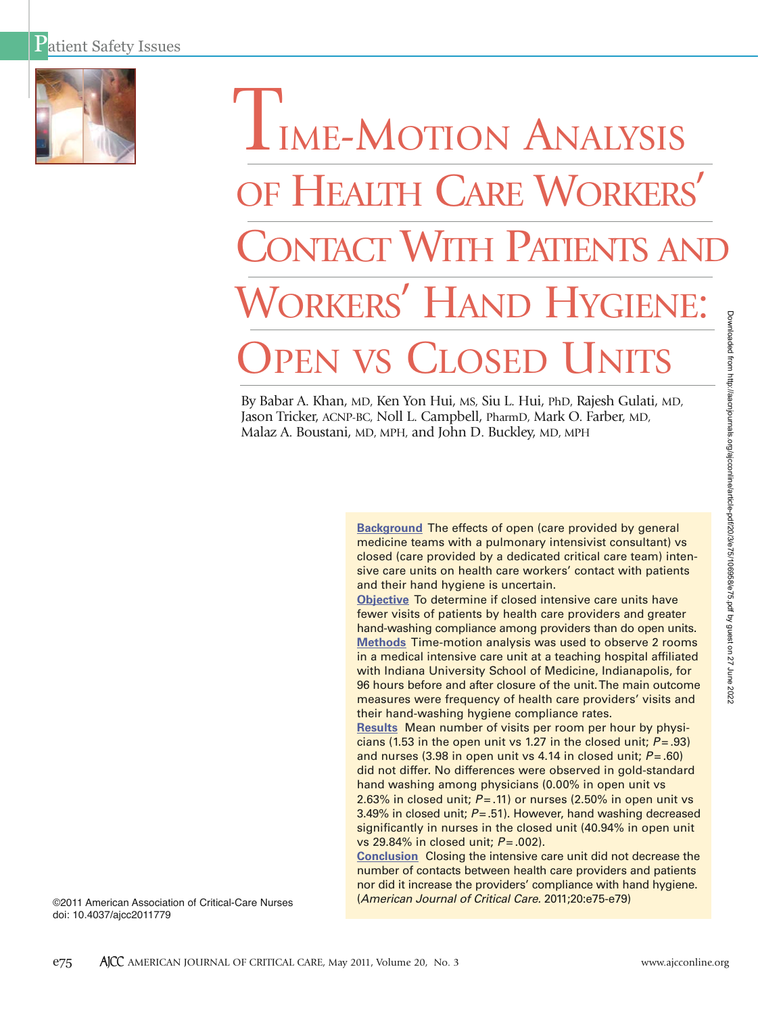

# LIME-MOTION ANALYSIS OF HEALTH CARE WORKERS **NTACT WITH PATIENT** DRKERS' HAND HYGIEN V VS CLOSED

By Babar A. Khan, MD, Ken Yon Hui, MS, Siu L. Hui, PhD, Rajesh Gulati, MD, Jason Tricker, ACNP-BC, Noll L. Campbell, PharmD, Mark O. Farber, MD, Malaz A. Boustani, MD, MPH, and John D. Buckley, MD, MPH

> **Background** The effects of open (care provided by general medicine teams with a pulmonary intensivist consultant) vs closed (care provided by a dedicated critical care team) intensive care units on health care workers' contact with patients and their hand hygiene is uncertain.

> **Objective** To determine if closed intensive care units have fewer visits of patients by health care providers and greater hand-washing compliance among providers than do open units. **Methods** Time-motion analysis was used to observe 2 rooms in a medical intensive care unit at a teaching hospital affiliated with Indiana University School of Medicine, Indianapolis, for 96 hours before and after closure of the unit. The main outcome measures were frequency of health care providers' visits and their hand-washing hygiene compliance rates.

> **Results** Mean number of visits per room per hour by physicians (1.53 in the open unit vs 1.27 in the closed unit;  $P = .93$ ) and nurses  $(3.98 \text{ in open unit vs } 4.14 \text{ in closed unit}; P = .60)$ did not differ. No differences were observed in gold-standard hand washing among physicians (0.00% in open unit vs 2.63% in closed unit;  $P = .11$ ) or nurses (2.50% in open unit vs 3.49% in closed unit; *P*= .51). However, hand washing decreased significantly in nurses in the closed unit (40.94% in open unit vs 29.84% in closed unit;  $P = .002$ ).

> **Conclusion** Closing the intensive care unit did not decrease the number of contacts between health care providers and patients nor did it increase the providers' compliance with hand hygiene. (*American Journal of Critical Care.* 2011;20:e75-e79)

©2011 American Association of Critical-Care Nurses doi: 10.4037/ajcc2011779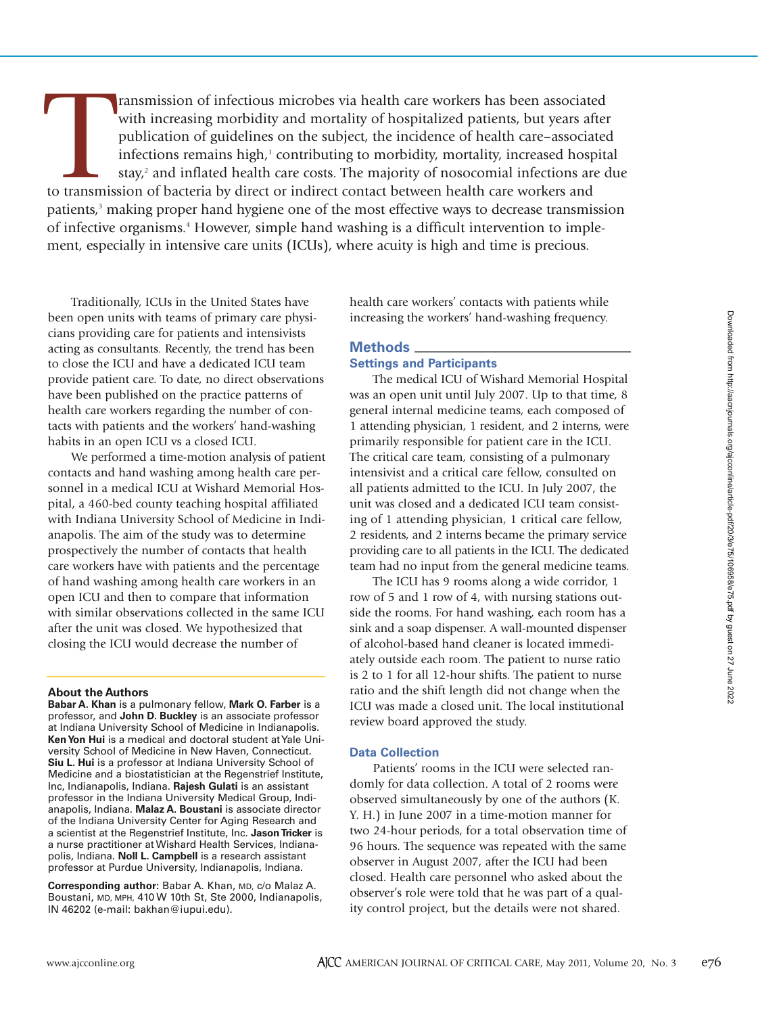The transmission of infectious microbes via health care workers has been associated with increasing morbidity and mortality of hospitalized patients, but years at publication of guidelines on the subject, the incidence of ransmission of infectious microbes via health care workers has been associated with increasing morbidity and mortality of hospitalized patients, but years after publication of guidelines on the subject, the incidence of health care–associated infections remains high, $1$  contributing to morbidity, mortality, increased hospital stay,<sup>2</sup> and inflated health care costs. The majority of nosocomial infections are due patients,3 making proper hand hygiene one of the most effective ways to decrease transmission of infective organisms.4 However, simple hand washing is a difficult intervention to implement, especially in intensive care units (ICUs), where acuity is high and time is precious.

Traditionally, ICUs in the United States have been open units with teams of primary care physicians providing care for patients and intensivists acting as consultants. Recently, the trend has been to close the ICU and have a dedicated ICU team provide patient care. To date, no direct observations have been published on the practice patterns of health care workers regarding the number of contacts with patients and the workers' hand-washing habits in an open ICU vs a closed ICU.

We performed a time-motion analysis of patient contacts and hand washing among health care personnel in a medical ICU at Wishard Memorial Hospital, a 460-bed county teaching hospital affiliated with Indiana University School of Medicine in Indianapolis. The aim of the study was to determine prospectively the number of contacts that health care workers have with patients and the percentage of hand washing among health care workers in an open ICU and then to compare that information with similar observations collected in the same ICU after the unit was closed. We hypothesized that closing the ICU would decrease the number of

#### **About the Authors**

**Babar A. Khan** is a pulmonary fellow, **Mark O. Farber** is a professor, and **John D. Buckley** is an associate professor at Indiana University School of Medicine in Indianapolis. **Ken Yon Hui** is a medical and doctoral student at Yale University School of Medicine in New Haven, Connecticut. **Siu L. Hui** is a professor at Indiana University School of Medicine and a biostatistician at the Regenstrief Institute, Inc, Indianapolis, Indiana. **Rajesh Gulati** is an assistant professor in the Indiana University Medical Group, Indianapolis, Indiana. **Malaz A. Boustani** is associate director of the Indiana University Center for Aging Research and a scientist at the Regenstrief Institute, Inc. **Jason Tricker** is a nurse practitioner at Wishard Health Services, Indianapolis, Indiana. **Noll L. Campbell** is a research assistant professor at Purdue University, Indianapolis, Indiana.

**Corresponding author:** Babar A. Khan, MD, c/o Malaz A. Boustani, MD, MPH, 410 W 10th St, Ste 2000, Indianapolis, IN 46202 (e-mail: bakhan@iupui.edu).

health care workers' contacts with patients while increasing the workers' hand-washing frequency.

# **Methods**

# **Settings and Participants**

The medical ICU of Wishard Memorial Hospital was an open unit until July 2007. Up to that time, 8 general internal medicine teams, each composed of 1 attending physician, 1 resident, and 2 interns, were primarily responsible for patient care in the ICU. The critical care team, consisting of a pulmonary intensivist and a critical care fellow, consulted on all patients admitted to the ICU. In July 2007, the unit was closed and a dedicated ICU team consisting of 1 attending physician, 1 critical care fellow, 2 residents, and 2 interns became the primary service providing care to all patients in the ICU. The dedicated team had no input from the general medicine teams.

The ICU has 9 rooms along a wide corridor, 1 row of 5 and 1 row of 4, with nursing stations outside the rooms. For hand washing, each room has a sink and a soap dispenser. A wall-mounted dispenser of alcohol-based hand cleaner is located immediately outside each room. The patient to nurse ratio is 2 to 1 for all 12-hour shifts. The patient to nurse ratio and the shift length did not change when the ICU was made a closed unit. The local institutional review board approved the study.

## **Data Collection**

Patients' rooms in the ICU were selected randomly for data collection. A total of 2 rooms were observed simultaneously by one of the authors (K. Y. H.) in June 2007 in a time-motion manner for two 24-hour periods, for a total observation time of 96 hours. The sequence was repeated with the same observer in August 2007, after the ICU had been closed. Health care personnel who asked about the observer's role were told that he was part of a quality control project, but the details were not shared.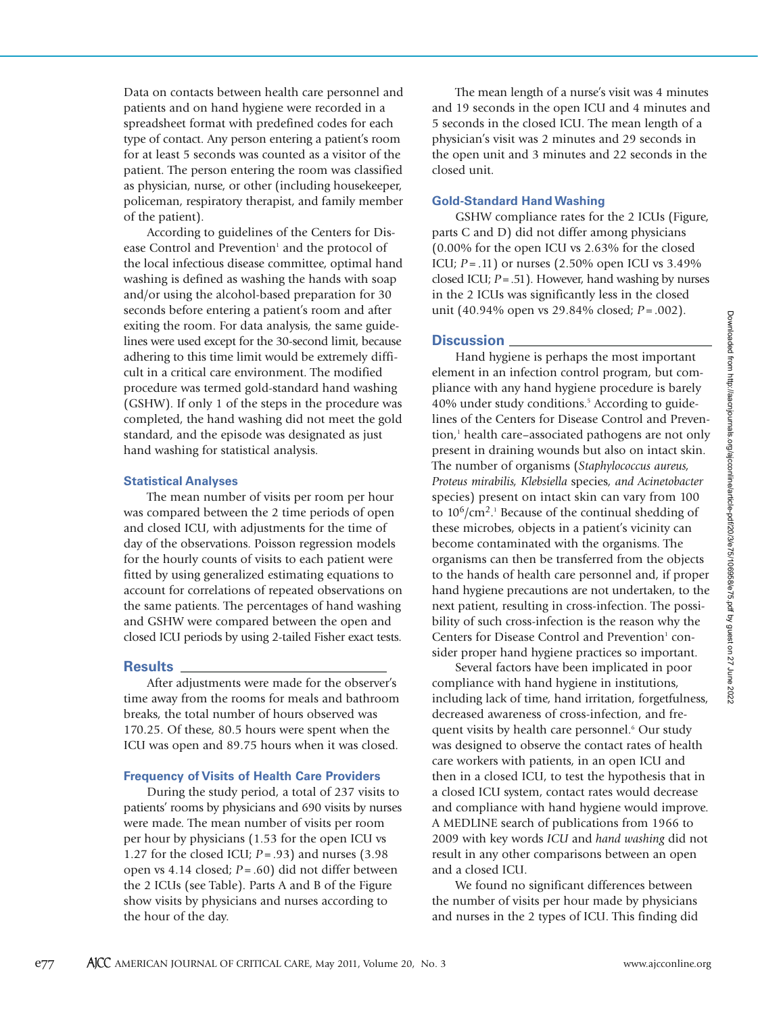Data on contacts between health care personnel and patients and on hand hygiene were recorded in a spreadsheet format with predefined codes for each type of contact. Any person entering a patient's room for at least 5 seconds was counted as a visitor of the patient. The person entering the room was classified as physician, nurse, or other (including housekeeper, policeman, respiratory therapist, and family member of the patient).

According to guidelines of the Centers for Disease Control and Prevention<sup>1</sup> and the protocol of the local infectious disease committee, optimal hand washing is defined as washing the hands with soap and/or using the alcohol-based preparation for 30 seconds before entering a patient's room and after exiting the room. For data analysis, the same guidelines were used except for the 30-second limit, because adhering to this time limit would be extremely difficult in a critical care environment. The modified procedure was termed gold-standard hand washing (GSHW). If only 1 of the steps in the procedure was completed, the hand washing did not meet the gold standard, and the episode was designated as just hand washing for statistical analysis.

# **Statistical Analyses**

The mean number of visits per room per hour was compared between the 2 time periods of open and closed ICU, with adjustments for the time of day of the observations. Poisson regression models for the hourly counts of visits to each patient were fitted by using generalized estimating equations to account for correlations of repeated observations on the same patients. The percentages of hand washing and GSHW were compared between the open and closed ICU periods by using 2-tailed Fisher exact tests.

## **Results**

After adjustments were made for the observer's time away from the rooms for meals and bathroom breaks, the total number of hours observed was 170.25. Of these, 80.5 hours were spent when the ICU was open and 89.75 hours when it was closed.

#### **Frequency of Visits of Health Care Providers**

During the study period, a total of 237 visits to patients' rooms by physicians and 690 visits by nurses were made. The mean number of visits per room per hour by physicians (1.53 for the open ICU vs 1.27 for the closed ICU; *P* = .93) and nurses (3.98 open vs 4.14 closed; *P* = .60) did not differ between the 2 ICUs (see Table). Parts A and B of the Figure show visits by physicians and nurses according to the hour of the day.

The mean length of a nurse's visit was 4 minutes and 19 seconds in the open ICU and 4 minutes and 5 seconds in the closed ICU. The mean length of a physician's visit was 2 minutes and 29 seconds in the open unit and 3 minutes and 22 seconds in the closed unit.

# **Gold-Standard Hand Washing**

GSHW compliance rates for the 2 ICUs (Figure, parts C and D) did not differ among physicians (0.00% for the open ICU vs 2.63% for the closed ICU; *P* = .11) or nurses (2.50% open ICU vs 3.49% closed ICU; *P*=.51). However, hand washing by nurses in the 2 ICUs was significantly less in the closed unit (40.94% open vs 29.84% closed; *P* = .002).

# **Discussion**

Hand hygiene is perhaps the most important element in an infection control program, but compliance with any hand hygiene procedure is barely 40% under study conditions.<sup>5</sup> According to guidelines of the Centers for Disease Control and Prevention,<sup>1</sup> health care–associated pathogens are not only present in draining wounds but also on intact skin. The number of organisms (*Staphylococcus aureus, Proteus mirabilis, Klebsiella* species*, and Acinetobacter* species) present on intact skin can vary from 100 to  $10^6$ /cm<sup>2</sup>.<sup>1</sup> Because of the continual shedding of these microbes, objects in a patient's vicinity can become contaminated with the organisms. The organisms can then be transferred from the objects to the hands of health care personnel and, if proper hand hygiene precautions are not undertaken, to the next patient, resulting in cross-infection. The possibility of such cross-infection is the reason why the Centers for Disease Control and Prevention<sup>1</sup> consider proper hand hygiene practices so important.

Several factors have been implicated in poor compliance with hand hygiene in institutions, including lack of time, hand irritation, forgetfulness, decreased awareness of cross-infection, and frequent visits by health care personnel.<sup>6</sup> Our study was designed to observe the contact rates of health care workers with patients, in an open ICU and then in a closed ICU, to test the hypothesis that in a closed ICU system, contact rates would decrease and compliance with hand hygiene would improve. A MEDLINE search of publications from 1966 to 2009 with key words *ICU* and *hand washing* did not result in any other comparisons between an open and a closed ICU.

We found no significant differences between the number of visits per hour made by physicians and nurses in the 2 types of ICU. This finding did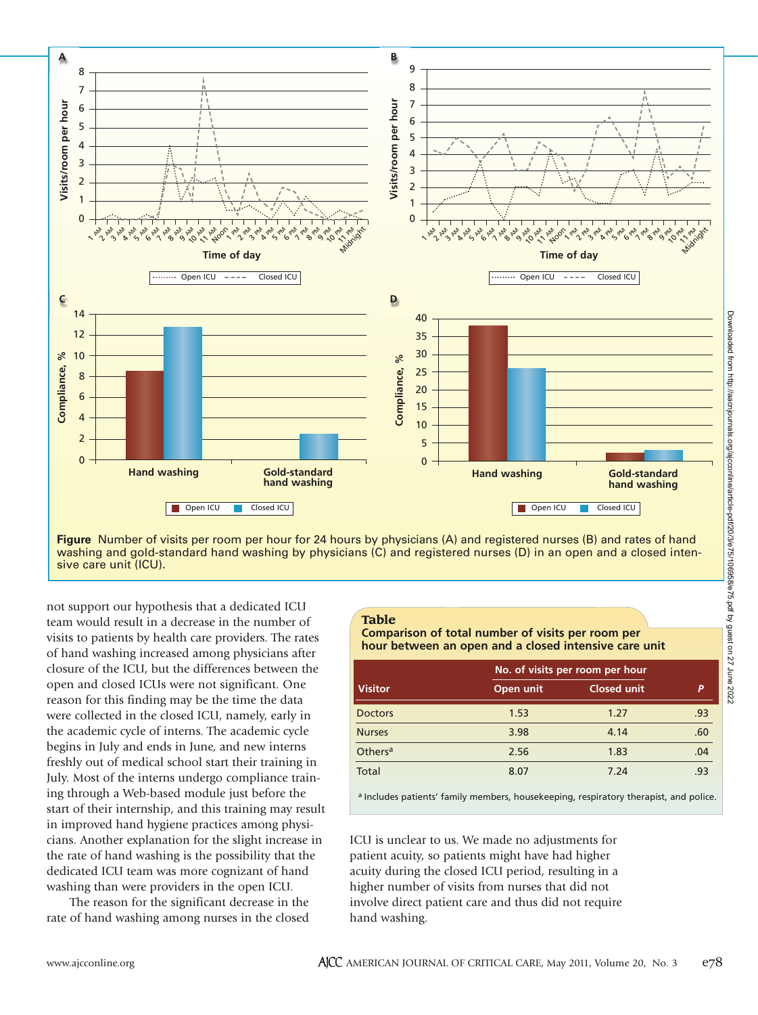

**Figure** Number of visits per room per hour for 24 hours by physicians (A) and registered nurses (B) and rates of hand washing and gold-standard hand washing by physicians (C) and registered nurses (D) in an open and a closed inten-

not support our hypothesis that a dedicated ICU team would result in a decrease in the number of visits to patients by health care providers. The rates of hand washing increased among physicians after closure of the ICU, but the differences between the open and closed ICUs were not significant. One reason for this finding may be the time the data were collected in the closed ICU, namely, early in the academic cycle of interns. The academic cycle begins in July and ends in June, and new interns freshly out of medical school start their training in July. Most of the interns undergo compliance training through a Web-based module just before the start of their internship, and this training may result in improved hand hygiene practices among physicians. Another explanation for the slight increase in the rate of hand washing is the possibility that the dedicated ICU team was more cognizant of hand washing than were providers in the open ICU.

The reason for the significant decrease in the rate of hand washing among nurses in the closed

## **Table**

**Comparison of total number of visits per room per hour between an open and a closed intensive care unit**

|                     |           | No. of visits per room per hour |     |
|---------------------|-----------|---------------------------------|-----|
| <b>Visitor</b>      | Open unit | <b>Closed unit</b>              | Þ   |
| <b>Doctors</b>      | 1.53      | 1.27                            | .93 |
| <b>Nurses</b>       | 3.98      | 4.14                            | .60 |
| Others <sup>a</sup> | 2.56      | 1.83                            | .04 |
| Total               | 8.07      | 7.24                            | .93 |

a Includes patients' family members, housekeeping, respiratory therapist, and police.

ICU is unclear to us. We made no adjustments for patient acuity, so patients might have had higher acuity during the closed ICU period, resulting in a higher number of visits from nurses that did not involve direct patient care and thus did not require hand washing.